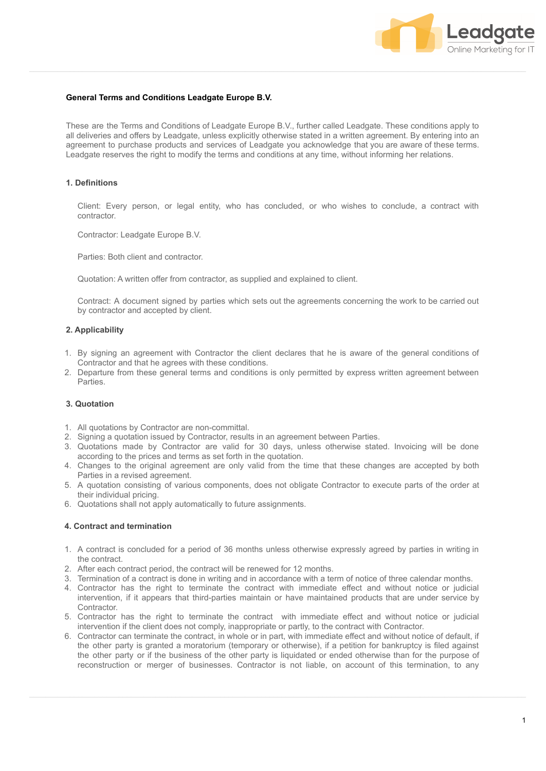

## **General Terms and Conditions Leadgate Europe B.V.**

These are the Terms and Conditions of Leadgate Europe B.V., further called Leadgate. These conditions apply to all deliveries and offers by Leadgate, unless explicitly otherwise stated in a written agreement. By entering into an agreement to purchase products and services of Leadgate you acknowledge that you are aware of these terms. Leadgate reserves the right to modify the terms and conditions at any time, without informing her relations.

#### **1. Definitions**

Client: Every person, or legal entity, who has concluded, or who wishes to conclude, a contract with contractor.

Contractor: Leadgate Europe B.V.

Parties: Both client and contractor.

Quotation: A written offer from contractor, as supplied and explained to client.

Contract: A document signed by parties which sets out the agreements concerning the work to be carried out by contractor and accepted by client.

#### **2. Applicability**

- 1. By signing an agreement with Contractor the client declares that he is aware of the general conditions of Contractor and that he agrees with these conditions.
- 2. Departure from these general terms and conditions is only permitted by express written agreement between Parties.

#### **3. Quotation**

- 1. All quotations by Contractor are non-committal.
- 2. Signing a quotation issued by Contractor, results in an agreement between Parties.
- 3. Quotations made by Contractor are valid for 30 days, unless otherwise stated. Invoicing will be done according to the prices and terms as set forth in the quotation.
- 4. Changes to the original agreement are only valid from the time that these changes are accepted by both Parties in a revised agreement.
- 5. A quotation consisting of various components, does not obligate Contractor to execute parts of the order at their individual pricing.
- 6. Quotations shall not apply automatically to future assignments.

#### **4. Contract and termination**

- 1. A contract is concluded for a period of 36 months unless otherwise expressly agreed by parties in writing in the contract.
- 2. After each contract period, the contract will be renewed for 12 months.
- 3. Termination of a contract is done in writing and in accordance with a term of notice of three calendar months.
- 4. Contractor has the right to terminate the contract with immediate effect and without notice or judicial intervention, if it appears that third-parties maintain or have maintained products that are under service by Contractor.
- 5. Contractor has the right to terminate the contract with immediate effect and without notice or judicial intervention if the client does not comply, inappropriate or partly, to the contract with Contractor.
- 6. Contractor can terminate the contract, in whole or in part, with immediate effect and without notice of default, if the other party is granted a moratorium (temporary or otherwise), if a petition for bankruptcy is filed against the other party or if the business of the other party is liquidated or ended otherwise than for the purpose of reconstruction or merger of businesses. Contractor is not liable, on account of this termination, to any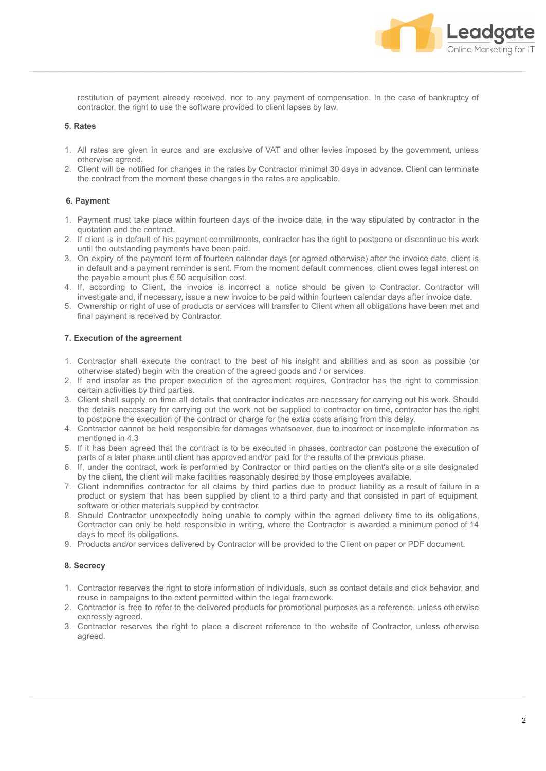

restitution of payment already received, nor to any payment of compensation. In the case of bankruptcy of contractor, the right to use the software provided to client lapses by law.

# **5. Rates**

- 1. All rates are given in euros and are exclusive of VAT and other levies imposed by the government, unless otherwise agreed.
- 2. Client will be notified for changes in the rates by Contractor minimal 30 days in advance. Client can terminate the contract from the moment these changes in the rates are applicable.

# **6. Payment**

- 1. Payment must take place within fourteen days of the invoice date, in the way stipulated by contractor in the quotation and the contract.
- 2. If client is in default of his payment commitments, contractor has the right to postpone or discontinue his work until the outstanding payments have been paid.
- 3. On expiry of the payment term of fourteen calendar days (or agreed otherwise) after the invoice date, client is in default and a payment reminder is sent. From the moment default commences, client owes legal interest on the payable amount plus  $\epsilon$  50 acquisition cost.
- 4. If, according to Client, the invoice is incorrect a notice should be given to Contractor. Contractor will investigate and, if necessary, issue a new invoice to be paid within fourteen calendar days after invoice date.
- 5. Ownership or right of use of products or services will transfer to Client when all obligations have been met and final payment is received by Contractor.

# **7. Execution of the agreement**

- 1. Contractor shall execute the contract to the best of his insight and abilities and as soon as possible (or otherwise stated) begin with the creation of the agreed goods and / or services.
- 2. If and insofar as the proper execution of the agreement requires, Contractor has the right to commission certain activities by third parties.
- 3. Client shall supply on time all details that contractor indicates are necessary for carrying out his work. Should the details necessary for carrying out the work not be supplied to contractor on time, contractor has the right to postpone the execution of the contract or charge for the extra costs arising from this delay.
- 4. Contractor cannot be held responsible for damages whatsoever, due to incorrect or incomplete information as mentioned in 4.3
- 5. If it has been agreed that the contract is to be executed in phases, contractor can postpone the execution of parts of a later phase until client has approved and/or paid for the results of the previous phase.
- 6. If, under the contract, work is performed by Contractor or third parties on the client's site or a site designated by the client, the client will make facilities reasonably desired by those employees available.
- 7. Client indemnifies contractor for all claims by third parties due to product liability as a result of failure in a product or system that has been supplied by client to a third party and that consisted in part of equipment, software or other materials supplied by contractor.
- 8. Should Contractor unexpectedly being unable to comply within the agreed delivery time to its obligations, Contractor can only be held responsible in writing, where the Contractor is awarded a minimum period of 14 days to meet its obligations.
- 9. Products and/or services delivered by Contractor will be provided to the Client on paper or PDF document.

### **8. Secrecy**

- 1. Contractor reserves the right to store information of individuals, such as contact details and click behavior, and reuse in campaigns to the extent permitted within the legal framework.
- 2. Contractor is free to refer to the delivered products for promotional purposes as a reference, unless otherwise expressly agreed.
- 3. Contractor reserves the right to place a discreet reference to the website of Contractor, unless otherwise agreed.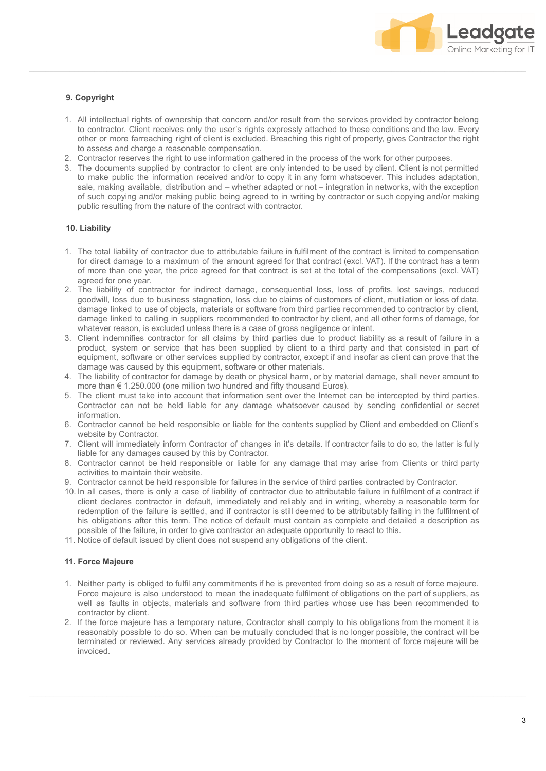

# **9. Copyright**

- 1. All intellectual rights of ownership that concern and/or result from the services provided by contractor belong to contractor. Client receives only the user's rights expressly attached to these conditions and the law. Every other or more farreaching right of client is excluded. Breaching this right of property, gives Contractor the right to assess and charge a reasonable compensation.
- 2. Contractor reserves the right to use information gathered in the process of the work for other purposes.
- 3. The documents supplied by contractor to client are only intended to be used by client. Client is not permitted to make public the information received and/or to copy it in any form whatsoever. This includes adaptation, sale, making available, distribution and – whether adapted or not – integration in networks, with the exception of such copying and/or making public being agreed to in writing by contractor or such copying and/or making public resulting from the nature of the contract with contractor.

## **10. Liability**

- 1. The total liability of contractor due to attributable failure in fulfilment of the contract is limited to compensation for direct damage to a maximum of the amount agreed for that contract (excl. VAT). If the contract has a term of more than one year, the price agreed for that contract is set at the total of the compensations (excl. VAT) agreed for one year.
- 2. The liability of contractor for indirect damage, consequential loss, loss of profits, lost savings, reduced goodwill, loss due to business stagnation, loss due to claims of customers of client, mutilation or loss of data, damage linked to use of objects, materials or software from third parties recommended to contractor by client, damage linked to calling in suppliers recommended to contractor by client, and all other forms of damage, for whatever reason, is excluded unless there is a case of gross negligence or intent.
- 3. Client indemnifies contractor for all claims by third parties due to product liability as a result of failure in a product, system or service that has been supplied by client to a third party and that consisted in part of equipment, software or other services supplied by contractor, except if and insofar as client can prove that the damage was caused by this equipment, software or other materials.
- 4. The liability of contractor for damage by death or physical harm, or by material damage, shall never amount to more than € 1.250.000 (one million two hundred and fifty thousand Euros).
- 5. The client must take into account that information sent over the Internet can be intercepted by third parties. Contractor can not be held liable for any damage whatsoever caused by sending confidential or secret information.
- 6. Contractor cannot be held responsible or liable for the contents supplied by Client and embedded on Client's website by Contractor.
- 7. Client will immediately inform Contractor of changes in it's details. If contractor fails to do so, the latter is fully liable for any damages caused by this by Contractor.
- 8. Contractor cannot be held responsible or liable for any damage that may arise from Clients or third party activities to maintain their website.
- 9. Contractor cannot be held responsible for failures in the service of third parties contracted by Contractor.
- 10. In all cases, there is only a case of liability of contractor due to attributable failure in fulfilment of a contract if client declares contractor in default, immediately and reliably and in writing, whereby a reasonable term for redemption of the failure is settled, and if contractor is still deemed to be attributably failing in the fulfilment of his obligations after this term. The notice of default must contain as complete and detailed a description as possible of the failure, in order to give contractor an adequate opportunity to react to this.
- 11. Notice of default issued by client does not suspend any obligations of the client.

### **11. Force Majeure**

- 1. Neither party is obliged to fulfil any commitments if he is prevented from doing so as a result of force majeure. Force majeure is also understood to mean the inadequate fulfilment of obligations on the part of suppliers, as well as faults in objects, materials and software from third parties whose use has been recommended to contractor by client.
- 2. If the force majeure has a temporary nature, Contractor shall comply to his obligations from the moment it is reasonably possible to do so. When can be mutually concluded that is no longer possible, the contract will be terminated or reviewed. Any services already provided by Contractor to the moment of force majeure will be invoiced.